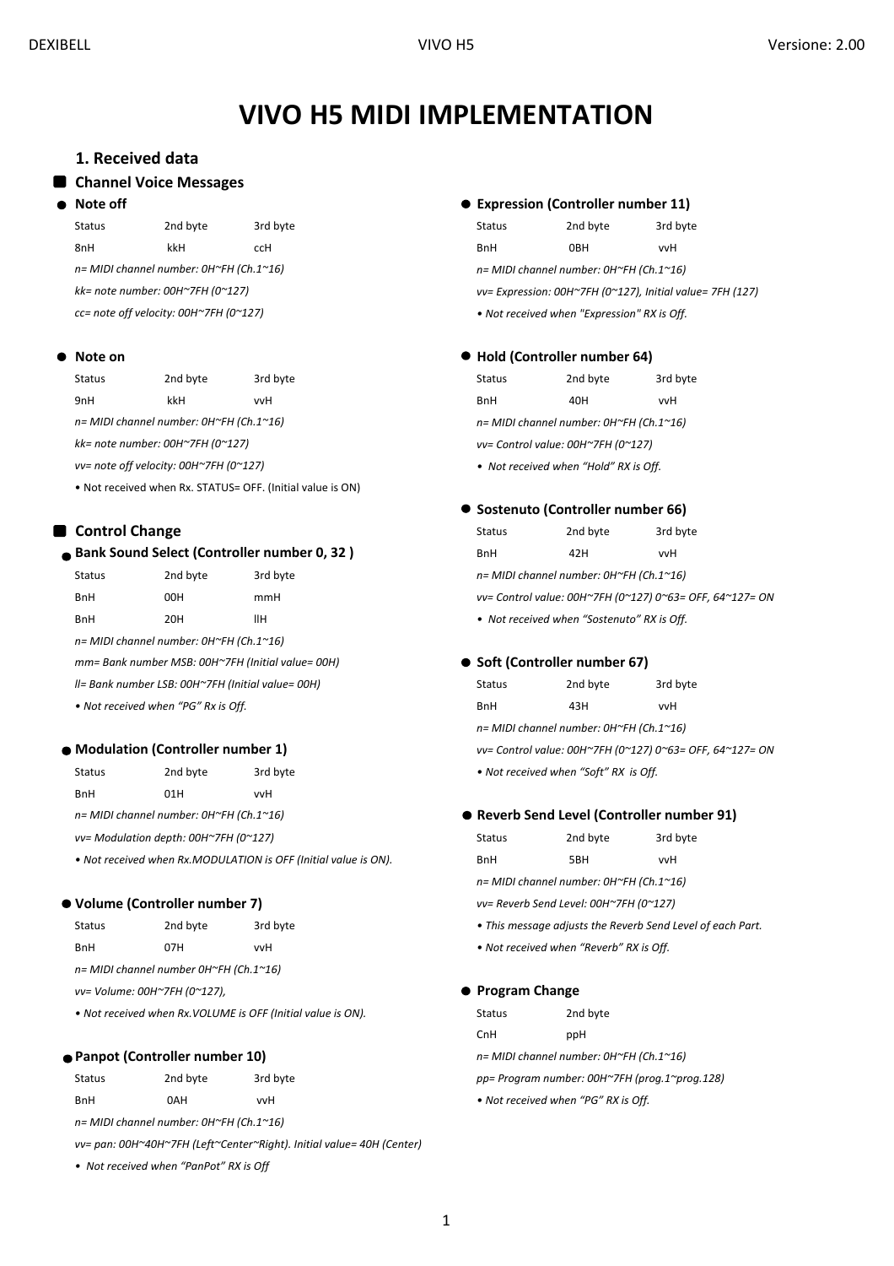# **VIVO H5 MIDI IMPLEMENTATION**

# **1. Received data**

#### **Channel Voice Messages**

#### **Note off**

8nH kkH ccH BnH 0BH vvH *n= MIDI channel number: 0H~FH (Ch.1~16) kk= note number: 00H~7FH (0~127) cc= note off velocity: 00H~7FH (0~127)*

#### **Note on**

| <b>Status</b>                                               | 2nd byte | 3rd byte                                                   | <b>Status</b>                           | 2nd byte | 3rd byte |
|-------------------------------------------------------------|----------|------------------------------------------------------------|-----------------------------------------|----------|----------|
| 9nH                                                         | kkH      | vvH                                                        | <b>BnH</b>                              | 40H      | vvH      |
| $n = MIDI channel number: OH~FH (Ch.1~16)$                  |          |                                                            | n= MIDI channel number: 0H~FH (Ch.1~16) |          |          |
| kk= note number: $00H^2$ 7FH (0 $^{\sim}127$ )              |          |                                                            | vv= Control value: 00H~7FH (0~127)      |          |          |
| $vv = note$ off velocity: 00H $\gamma$ 7FH (0 $\gamma$ 127) |          |                                                            | • Not received when "Hold" RX is Off.   |          |          |
|                                                             |          | . Not received when Rx. STATUS= OFF. (Initial value is ON) |                                         |          |          |

#### **Control Change**

#### **Bank Sound Select (Controller number 0, 32 )**

| <b>Status</b>                                     | 2nd byte                                | 3rd byte | n= MIDI channel number: 0H~FH (Ch.1~16)    |          |  |
|---------------------------------------------------|-----------------------------------------|----------|--------------------------------------------|----------|--|
| <b>BnH</b>                                        | 00H                                     | mmH      | vv= Control value: 00H~7FH (0~127) 0~63= O |          |  |
| <b>BnH</b>                                        | 20H                                     | ΙІН      | • Not received when "Sostenuto" RX is Off. |          |  |
|                                                   | n= MIDI channel number: 0H~FH (Ch.1~16) |          |                                            |          |  |
| mm= Bank number MSB: 00H~7FH (Initial value= 00H) |                                         |          | • Soft (Controller number 67)              |          |  |
| II= Bank number LSB: 00H~7FH (Initial value= 00H) |                                         | Status   | 2nd byte                                   | 3rd byte |  |

• Not received when "PG" Rx is Off.

## **Modulation (Controller number 1)**

| Status     | 2nd byte                                                  | 3rd byte | • Not received when "Soft" RX is Off. |
|------------|-----------------------------------------------------------|----------|---------------------------------------|
| <b>BnH</b> | 01H                                                       | vvH      |                                       |
|            | $n = MIDI$ channel number: $OH \sim FH$ (Ch.1 $\sim 16$ ) |          | • Reverb Send Level (Controller       |
|            |                                                           |          |                                       |

*vv= Modulation depth: 00H~7FH (0~127)* 

• Not received when Rx.MODULATION is OFF (Initial value is ON).

## **Volume (Controller number 7)**

| Status                                 | 2nd byte | 3rd byte |  |  |
|----------------------------------------|----------|----------|--|--|
| <b>BnH</b>                             | 07H      | vvH      |  |  |
| n= MIDI channel number 0H~FH (Ch.1~16) |          |          |  |  |

*vv= Volume: 00H~7FH (0~127),*

• Not received when Rx.VOLUME is OFF (Initial value is ON).

#### **Panpot (Controller number 10)**

| <b>Status</b> | 2nd byte | 3rd byte | pp= Program number: 00H~7FH (pr     |
|---------------|----------|----------|-------------------------------------|
| <b>BnH</b>    | 0AH      | vvH      | • Not received when "PG" RX is Off. |

*n= MIDI channel number: 0H~FH (Ch.1~16)*

*vv= pan: 00H~40H~7FH (Left~Center~Right). Initial value= 40H (Center)*

*• Not received when "PanPot" RX is Off*

#### **Expression (Controller number 11)**

Status 2nd byte 3rd byte 3rd byte 3rd byte 3rd byte 3rd byte 3rd byte 3rd byte 3rd byte 3rd byte 3rd byte 3rd byte 3rd byte 3rd byte 3rd byte 3rd byte 3rd byte 3rd byte 3rd byte 3rd byte 3rd byte 3rd byte 3rd byte 3rd byte *n= MIDI channel number: 0H~FH (Ch.1~16) vv= Expression: 00H~7FH (0~127), Initial value= 7FH (127) • Not received when "Expression" RX is Off.*

#### **Hold (Controller number 64)**

#### **Sostenuto (Controller number 66)**

Status 2nd byte 3rd byte BnH 42H vvH n= MIDI channel number: 0H~FH (Ch.1~16) vv= Control value: 00H~7FH (0~127) 0~63= OFF, 64~127= ON • Not received when "Sostenuto" RX is Off.

#### **Soft (Controller number 67)**

| Status                                                   | 2nd byte | 3rd byte |  |  |  |  |
|----------------------------------------------------------|----------|----------|--|--|--|--|
| <b>BnH</b>                                               | 43H      | vvH      |  |  |  |  |
| n= MIDI channel number: 0H~FH (Ch.1~16)                  |          |          |  |  |  |  |
| vv= Control value: 00H~7FH (0~127) 0~63= OFF, 64~127= ON |          |          |  |  |  |  |
| • Not received when "Soft" RX is Off                     |          |          |  |  |  |  |

## **Reverb Send Level (Controller number 91)**

| Status                                  | 2nd byte | 3rd byte |  |  |
|-----------------------------------------|----------|----------|--|--|
| BnH                                     | 5BH      | vvH      |  |  |
| n= MIDI channel number: 0H~FH (Ch.1~16) |          |          |  |  |

*vv= Reverb Send Level: 00H~7FH (0~127)*

- This message adjusts the Reverb Send Level of each Part.
- Not received when "Reverb" RX is Off.

#### **Program Change**

|            |                               | • Not received when Rx.VOLUME is OFF (Initial value is ON). | Status                                        | 2nd byte |  |
|------------|-------------------------------|-------------------------------------------------------------|-----------------------------------------------|----------|--|
|            |                               |                                                             | CnH                                           | ppH      |  |
|            | Panpot (Controller number 10) |                                                             | $n = MIDI channel number: OH~FH (Ch.1~16)$    |          |  |
| Status     | 2nd byte                      | 3rd byte                                                    | pp= Program number: 00H~7FH (prog.1~prog.128) |          |  |
| <b>BnH</b> | 0AH                           | vvH                                                         | • Not received when "PG" RX is Off.           |          |  |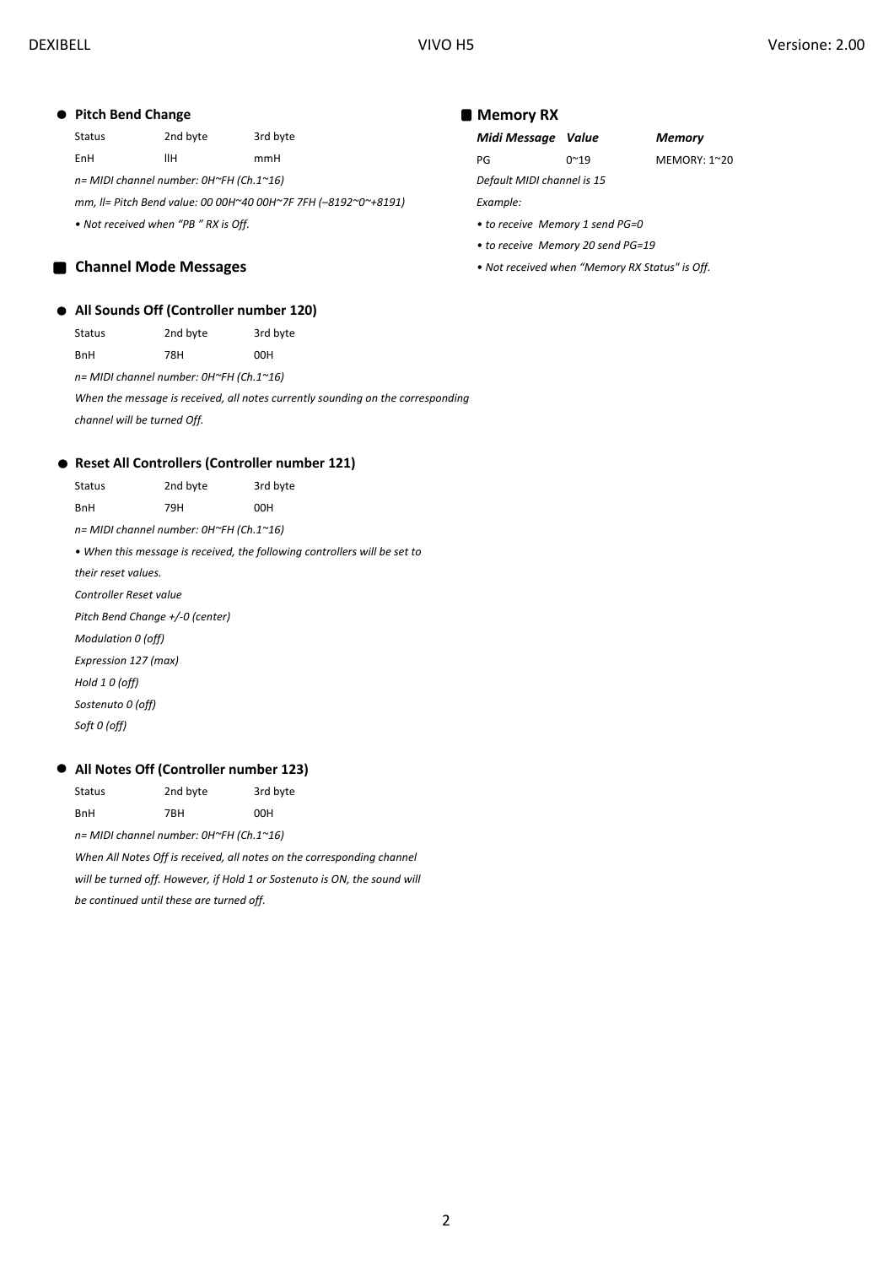# **Pitch Bend Change**

Status 2nd byte 3rd byte *Midi Message Value Memory*

*n= MIDI channel number: 0H~FH (Ch.1~16) Default MIDI channel is 15*

*mm, ll= Pitch Bend value: 00 00H~40 00H~7F 7FH (–8192~0~+8191) Example: • Not received when "PB " RX is Off. • to receive Memory 1 send PG=0* 

# **Channel Mode Messages**

### **All Sounds Off (Controller number 120)**

| Status | 2nd byte | 3rd byte |
|--------|----------|----------|
| BnH    | 78H      | 00H      |

*n= MIDI channel number: 0H~FH (Ch.1~16)*

*When the message is received, all notes currently sounding on the corresponding channel will be turned Off.*

#### **Reset All Controllers (Controller number 121)**

| Status                          | 2nd byte                                | 3rd byte                                                                  |
|---------------------------------|-----------------------------------------|---------------------------------------------------------------------------|
| <b>BnH</b>                      | 79H                                     | 00H                                                                       |
|                                 | n= MIDI channel number: 0H~FH (Ch.1~16) |                                                                           |
|                                 |                                         | • When this message is received, the following controllers will be set to |
| their reset values.             |                                         |                                                                           |
| Controller Reset value          |                                         |                                                                           |
| Pitch Bend Change +/-0 (center) |                                         |                                                                           |
| Modulation 0 (off)              |                                         |                                                                           |
| Expression 127 (max)            |                                         |                                                                           |
| Hold 1 0 (off)                  |                                         |                                                                           |
| Sostenuto 0 (off)               |                                         |                                                                           |
| Soft 0 (off)                    |                                         |                                                                           |
|                                 |                                         |                                                                           |

# **All Notes Off (Controller number 123)**

Status 2nd byte 3rd byte BnH 7BH 00H

*n= MIDI channel number: 0H~FH (Ch.1~16) When All Notes Off is received, all notes on the corresponding channel will be turned off. However, if Hold 1 or Sostenuto is ON, the sound will be continued until these are turned off.*

#### **Memory RX**

EnH llH mmH PG 0~19 MEMORY: 1~20

- 
- *to receive Memory 20 send PG=19*
- *Not received when "Memory RX Status" is Off.*